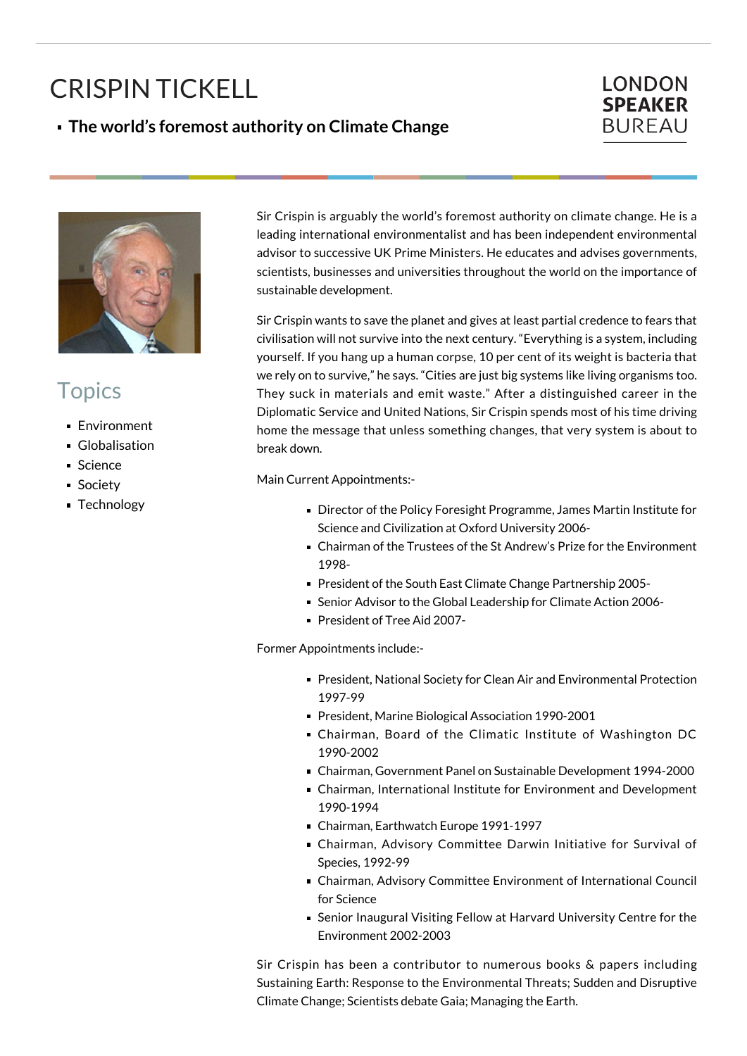## CRISPIN TICKELL

## **The world's foremost authority on Climate Change**

## **LONDON SPEAKER BUREAU**



## **Topics**

- **Environment**
- **Globalisation**
- Science
- **Society**
- **Technology**

Sir Crispin is arguably the world's foremost authority on climate change. He is a leading international environmentalist and has been independent environmental advisor to successive UK Prime Ministers. He educates and advises governments, scientists, businesses and universities throughout the world on the importance of sustainable development.

Sir Crispin wants to save the planet and gives at least partial credence to fears that civilisation will not survive into the next century. "Everything is a system, including yourself. If you hang up a human corpse, 10 per cent of its weight is bacteria that we rely on to survive," he says. "Cities are just big systems like living organisms too. They suck in materials and emit waste." After a distinguished career in the Diplomatic Service and United Nations, Sir Crispin spends most of his time driving home the message that unless something changes, that very system is about to break down.

Main Current Appointments:-

- Director of the Policy Foresight Programme, James Martin Institute for Science and Civilization at Oxford University 2006-
- Chairman of the Trustees of the St Andrew's Prize for the Environment 1998-
- President of the South East Climate Change Partnership 2005-
- Senior Advisor to the Global Leadership for Climate Action 2006-
- President of Tree Aid 2007-

Former Appointments include:-

- President, National Society for Clean Air and Environmental Protection 1997-99
- President, Marine Biological Association 1990-2001
- Chairman, Board of the Climatic Institute of Washington DC 1990-2002
- Chairman, Government Panel on Sustainable Development 1994-2000
- Chairman, International Institute for Environment and Development 1990-1994
- Chairman, Earthwatch Europe 1991-1997
- Chairman, Advisory Committee Darwin Initiative for Survival of Species, 1992-99
- Chairman, Advisory Committee Environment of International Council for Science
- Senior Inaugural Visiting Fellow at Harvard University Centre for the Environment 2002-2003

Sir Crispin has been a contributor to numerous books & papers including Sustaining Earth: Response to the Environmental Threats; Sudden and Disruptive Climate Change; Scientists debate Gaia; Managing the Earth.